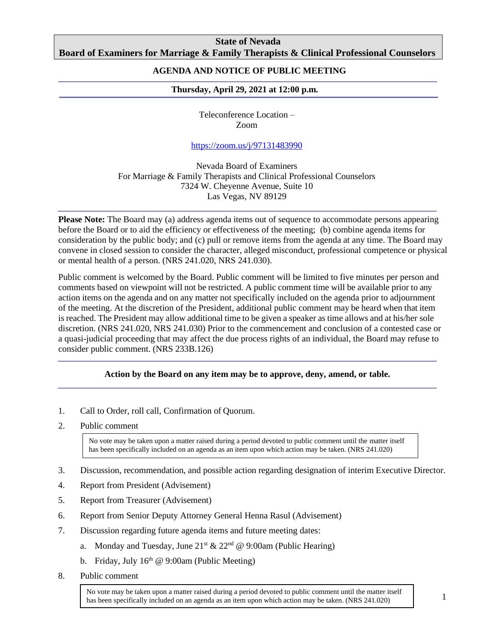## **State of Nevada Board of Examiners for Marriage & Family Therapists & Clinical Professional Counselors**

## **AGENDA AND NOTICE OF PUBLIC MEETING**

### **Thursday, April 29, 2021 at 12:00 p.m***.*

Teleconference Location – Zoom

### <https://zoom.us/j/97131483990>

Nevada Board of Examiners For Marriage & Family Therapists and Clinical Professional Counselors 7324 W. Cheyenne Avenue, Suite 10 Las Vegas, NV 89129

**Please Note:** The Board may (a) address agenda items out of sequence to accommodate persons appearing before the Board or to aid the efficiency or effectiveness of the meeting; (b) combine agenda items for consideration by the public body; and (c) pull or remove items from the agenda at any time. The Board may convene in closed session to consider the character, alleged misconduct, professional competence or physical or mental health of a person. (NRS 241.020, NRS 241.030).

Public comment is welcomed by the Board. Public comment will be limited to five minutes per person and comments based on viewpoint will not be restricted. A public comment time will be available prior to any action items on the agenda and on any matter not specifically included on the agenda prior to adjournment of the meeting. At the discretion of the President, additional public comment may be heard when that item is reached. The President may allow additional time to be given a speaker as time allows and at his/her sole discretion. (NRS 241.020, NRS 241.030) Prior to the commencement and conclusion of a contested case or a quasi-judicial proceeding that may affect the due process rights of an individual, the Board may refuse to consider public comment. (NRS 233B.126)

#### **Action by the Board on any item may be to approve, deny, amend, or table.**

- 1. Call to Order, roll call, Confirmation of Quorum.
- 2. Public comment

No vote may be taken upon a matter raised during a period devoted to public comment until the matter itself has been specifically included on an agenda as an item upon which action may be taken. (NRS 241.020)

- 3. Discussion, recommendation, and possible action regarding designation of interim Executive Director.
- 4. Report from President (Advisement)
- 5. Report from Treasurer (Advisement)
- 6. Report from Senior Deputy Attorney General Henna Rasul (Advisement)
- 7. Discussion regarding future agenda items and future meeting dates:
	- a. Monday and Tuesday, June  $21^{st} \& 22^{nd} \& 9:00 \text{am}$  (Public Hearing)
	- b. Friday, July  $16<sup>th</sup>$  @ 9:00am (Public Meeting)
- 8. Public comment

No vote may be taken upon a matter raised during a period devoted to public comment until the matter itself has been specifically included on an agenda as an item upon which action may be taken. (NRS 241.020)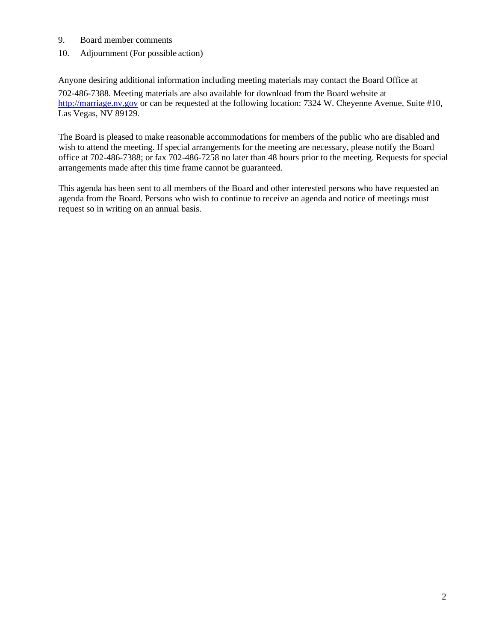- 9. Board member comments
- 10. Adjournment (For possible action)

Anyone desiring additional information including meeting materials may contact the Board Office at 702-486-7388. Meeting materials are also available for download from the Board website at [http://marriage.nv.gov](http://marriage.nv.gov/) or can be requested at the following location: 7324 W. Cheyenne Avenue, Suite #10, Las Vegas, NV 89129.

The Board is pleased to make reasonable accommodations for members of the public who are disabled and wish to attend the meeting. If special arrangements for the meeting are necessary, please notify the Board office at 702-486-7388; or fax 702-486-7258 no later than 48 hours prior to the meeting. Requests for special arrangements made after this time frame cannot be guaranteed.

This agenda has been sent to all members of the Board and other interested persons who have requested an agenda from the Board. Persons who wish to continue to receive an agenda and notice of meetings must request so in writing on an annual basis.